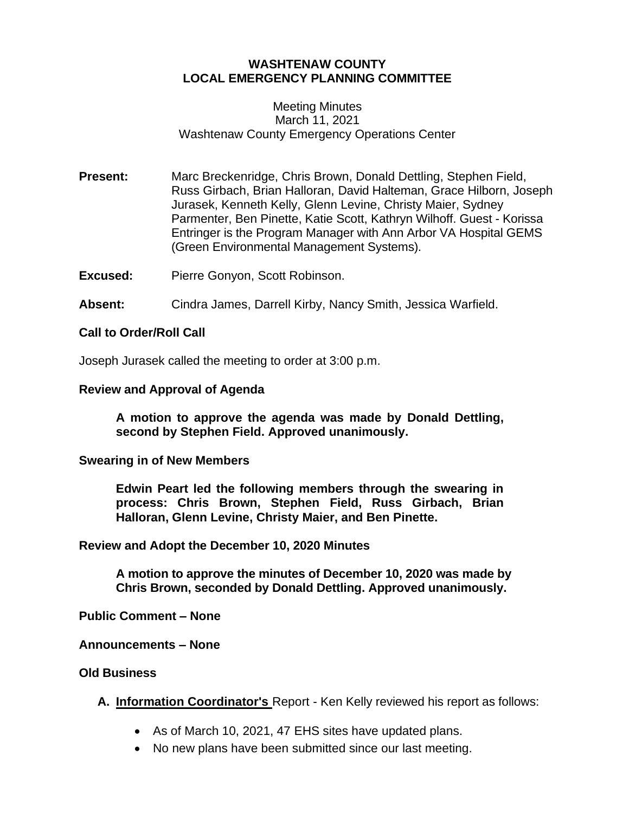# **WASHTENAW COUNTY LOCAL EMERGENCY PLANNING COMMITTEE**

### Meeting Minutes March 11, 2021 Washtenaw County Emergency Operations Center

**Present:** Marc Breckenridge, Chris Brown, Donald Dettling, Stephen Field, Russ Girbach, Brian Halloran, David Halteman, Grace Hilborn, Joseph Jurasek, Kenneth Kelly, Glenn Levine, Christy Maier, Sydney Parmenter, Ben Pinette, Katie Scott, Kathryn Wilhoff. Guest - Korissa Entringer is the Program Manager with Ann Arbor VA Hospital GEMS (Green Environmental Management Systems).

**Excused:** Pierre Gonyon, Scott Robinson.

**Absent:** Cindra James, Darrell Kirby, Nancy Smith, Jessica Warfield.

### **Call to Order/Roll Call**

Joseph Jurasek called the meeting to order at 3:00 p.m.

### **Review and Approval of Agenda**

**A motion to approve the agenda was made by Donald Dettling, second by Stephen Field. Approved unanimously.**

#### **Swearing in of New Members**

**Edwin Peart led the following members through the swearing in process: Chris Brown, Stephen Field, Russ Girbach, Brian Halloran, Glenn Levine, Christy Maier, and Ben Pinette.**

#### **Review and Adopt the December 10, 2020 Minutes**

**A motion to approve the minutes of December 10, 2020 was made by Chris Brown, seconded by Donald Dettling. Approved unanimously.**

**Public Comment – None**

#### **Announcements – None**

#### **Old Business**

- **A. Information Coordinator's** Report Ken Kelly reviewed his report as follows:
	- As of March 10, 2021, 47 EHS sites have updated plans.
	- No new plans have been submitted since our last meeting.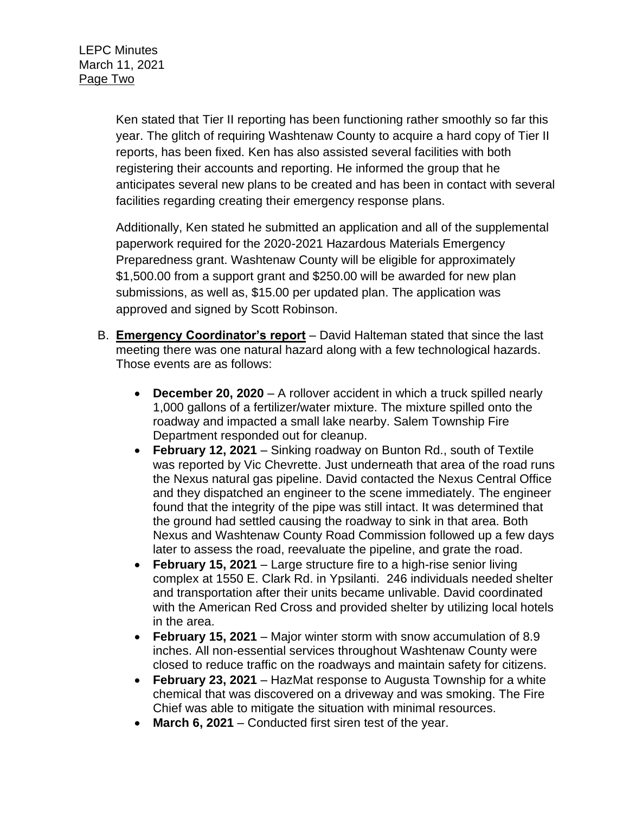Ken stated that Tier II reporting has been functioning rather smoothly so far this year. The glitch of requiring Washtenaw County to acquire a hard copy of Tier II reports, has been fixed. Ken has also assisted several facilities with both registering their accounts and reporting. He informed the group that he anticipates several new plans to be created and has been in contact with several facilities regarding creating their emergency response plans.

Additionally, Ken stated he submitted an application and all of the supplemental paperwork required for the 2020-2021 Hazardous Materials Emergency Preparedness grant. Washtenaw County will be eligible for approximately \$1,500.00 from a support grant and \$250.00 will be awarded for new plan submissions, as well as, \$15.00 per updated plan. The application was approved and signed by Scott Robinson.

- B. **Emergency Coordinator's report** David Halteman stated that since the last meeting there was one natural hazard along with a few technological hazards. Those events are as follows:
	- **December 20, 2020** A rollover accident in which a truck spilled nearly 1,000 gallons of a fertilizer/water mixture. The mixture spilled onto the roadway and impacted a small lake nearby. Salem Township Fire Department responded out for cleanup.
	- **February 12, 2021** Sinking roadway on Bunton Rd., south of Textile was reported by Vic Chevrette. Just underneath that area of the road runs the Nexus natural gas pipeline. David contacted the Nexus Central Office and they dispatched an engineer to the scene immediately. The engineer found that the integrity of the pipe was still intact. It was determined that the ground had settled causing the roadway to sink in that area. Both Nexus and Washtenaw County Road Commission followed up a few days later to assess the road, reevaluate the pipeline, and grate the road.
	- **February 15, 2021** Large structure fire to a high-rise senior living complex at 1550 E. Clark Rd. in Ypsilanti. 246 individuals needed shelter and transportation after their units became unlivable. David coordinated with the American Red Cross and provided shelter by utilizing local hotels in the area.
	- **February 15, 2021** Major winter storm with snow accumulation of 8.9 inches. All non-essential services throughout Washtenaw County were closed to reduce traffic on the roadways and maintain safety for citizens.
	- **February 23, 2021** HazMat response to Augusta Township for a white chemical that was discovered on a driveway and was smoking. The Fire Chief was able to mitigate the situation with minimal resources.
	- **March 6, 2021** Conducted first siren test of the year.